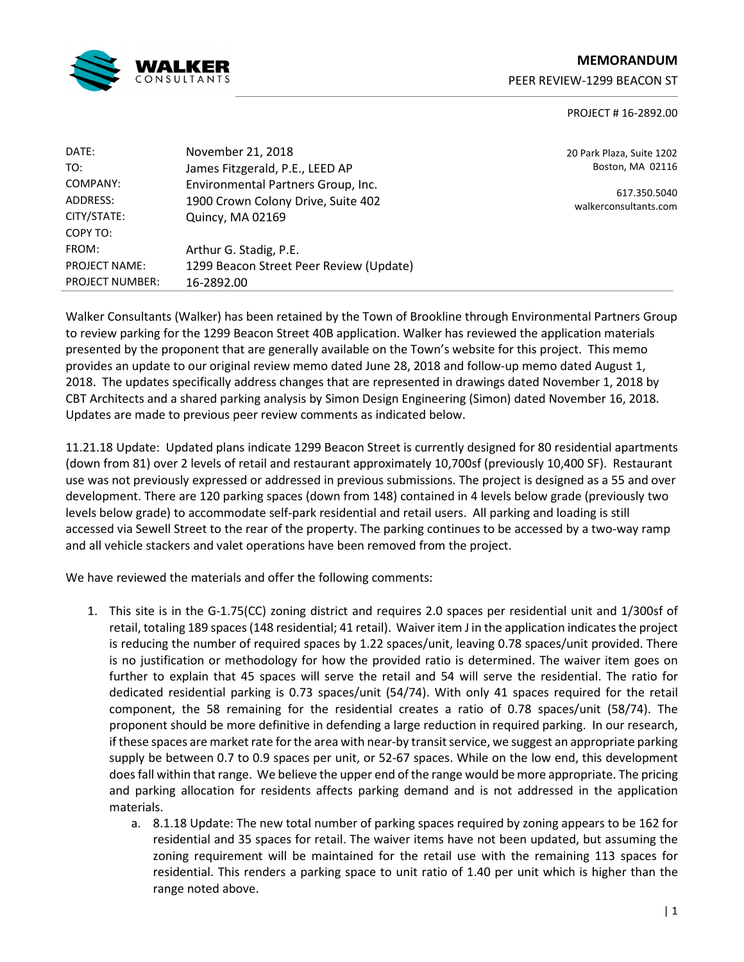

# **MEMORANDUM**

PEER REVIEW-1299 BEACON ST

#### PROJECT # 16-2892.00

| DATE:                  | November 21, 2018                       |
|------------------------|-----------------------------------------|
| TO:                    | James Fitzgerald, P.E., LEED AP         |
| COMPANY:               | Environmental Partners Group, Inc.      |
| ADDRESS:               | 1900 Crown Colony Drive, Suite 402      |
| CITY/STATE:            | Quincy, MA 02169                        |
| COPY TO:               |                                         |
| FROM:                  | Arthur G. Stadig, P.E.                  |
| <b>PROJECT NAME:</b>   | 1299 Beacon Street Peer Review (Update) |
| <b>PROJECT NUMBER:</b> | 16-2892.00                              |

20 Park Plaza, Suite 1202 Boston, MA 02116

617.350.5040 walkerconsultants.com

Walker Consultants (Walker) has been retained by the Town of Brookline through Environmental Partners Group to review parking for the 1299 Beacon Street 40B application. Walker has reviewed the application materials presented by the proponent that are generally available on the Town's website for this project. This memo provides an update to our original review memo dated June 28, 2018 and follow-up memo dated August 1, 2018. The updates specifically address changes that are represented in drawings dated November 1, 2018 by CBT Architects and a shared parking analysis by Simon Design Engineering (Simon) dated November 16, 2018. Updates are made to previous peer review comments as indicated below.

11.21.18 Update: Updated plans indicate 1299 Beacon Street is currently designed for 80 residential apartments (down from 81) over 2 levels of retail and restaurant approximately 10,700sf (previously 10,400 SF). Restaurant use was not previously expressed or addressed in previous submissions. The project is designed as a 55 and over development. There are 120 parking spaces (down from 148) contained in 4 levels below grade (previously two levels below grade) to accommodate self-park residential and retail users. All parking and loading is still accessed via Sewell Street to the rear of the property. The parking continues to be accessed by a two-way ramp and all vehicle stackers and valet operations have been removed from the project.

We have reviewed the materials and offer the following comments:

- 1. This site is in the G-1.75(CC) zoning district and requires 2.0 spaces per residential unit and 1/300sf of retail, totaling 189 spaces (148 residential; 41 retail). Waiver item J in the application indicates the project is reducing the number of required spaces by 1.22 spaces/unit, leaving 0.78 spaces/unit provided. There is no justification or methodology for how the provided ratio is determined. The waiver item goes on further to explain that 45 spaces will serve the retail and 54 will serve the residential. The ratio for dedicated residential parking is 0.73 spaces/unit (54/74). With only 41 spaces required for the retail component, the 58 remaining for the residential creates a ratio of 0.78 spaces/unit (58/74). The proponent should be more definitive in defending a large reduction in required parking. In our research, if these spaces are market rate for the area with near-by transit service, we suggest an appropriate parking supply be between 0.7 to 0.9 spaces per unit, or 52-67 spaces. While on the low end, this development does fall within that range. We believe the upper end of the range would be more appropriate. The pricing and parking allocation for residents affects parking demand and is not addressed in the application materials.
	- a. 8.1.18 Update: The new total number of parking spaces required by zoning appears to be 162 for residential and 35 spaces for retail. The waiver items have not been updated, but assuming the zoning requirement will be maintained for the retail use with the remaining 113 spaces for residential. This renders a parking space to unit ratio of 1.40 per unit which is higher than the range noted above.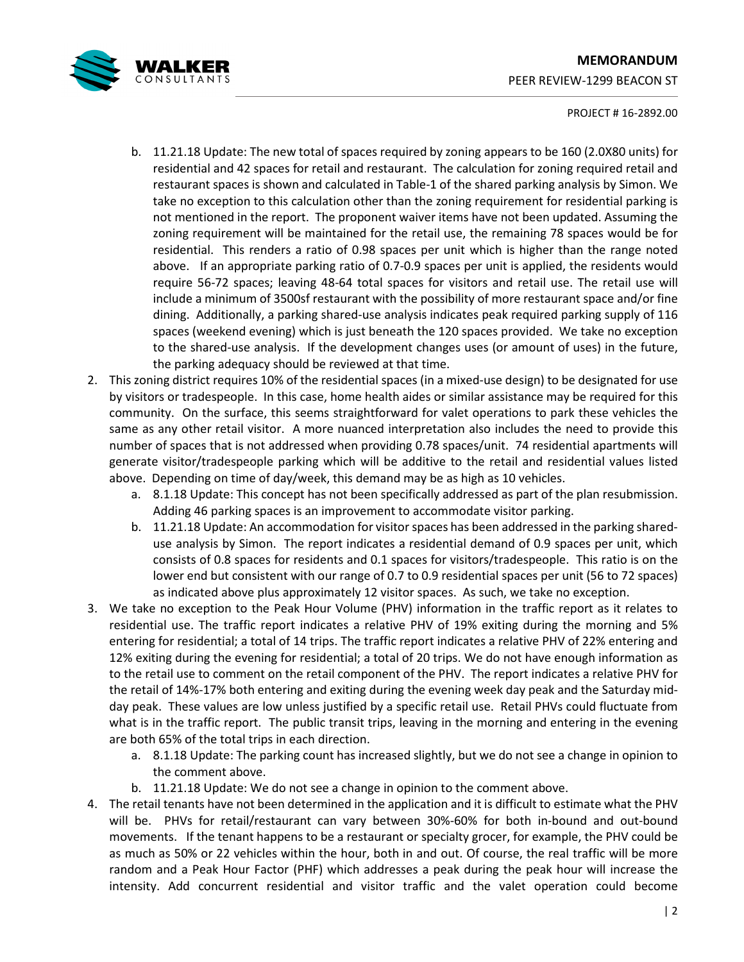

## **MEMORANDUM**  PEER REVIEW-1299 BEACON ST

#### PROJECT # 16-2892.00

- b. 11.21.18 Update: The new total of spaces required by zoning appears to be 160 (2.0X80 units) for residential and 42 spaces for retail and restaurant. The calculation for zoning required retail and restaurant spaces is shown and calculated in Table-1 of the shared parking analysis by Simon. We take no exception to this calculation other than the zoning requirement for residential parking is not mentioned in the report. The proponent waiver items have not been updated. Assuming the zoning requirement will be maintained for the retail use, the remaining 78 spaces would be for residential. This renders a ratio of 0.98 spaces per unit which is higher than the range noted above. If an appropriate parking ratio of 0.7-0.9 spaces per unit is applied, the residents would require 56-72 spaces; leaving 48-64 total spaces for visitors and retail use. The retail use will include a minimum of 3500sf restaurant with the possibility of more restaurant space and/or fine dining. Additionally, a parking shared-use analysis indicates peak required parking supply of 116 spaces (weekend evening) which is just beneath the 120 spaces provided. We take no exception to the shared-use analysis. If the development changes uses (or amount of uses) in the future, the parking adequacy should be reviewed at that time.
- 2. This zoning district requires 10% of the residential spaces (in a mixed-use design) to be designated for use by visitors or tradespeople. In this case, home health aides or similar assistance may be required for this community. On the surface, this seems straightforward for valet operations to park these vehicles the same as any other retail visitor. A more nuanced interpretation also includes the need to provide this number of spaces that is not addressed when providing 0.78 spaces/unit. 74 residential apartments will generate visitor/tradespeople parking which will be additive to the retail and residential values listed above. Depending on time of day/week, this demand may be as high as 10 vehicles.
	- a. 8.1.18 Update: This concept has not been specifically addressed as part of the plan resubmission. Adding 46 parking spaces is an improvement to accommodate visitor parking.
	- b. 11.21.18 Update: An accommodation for visitor spaces has been addressed in the parking shareduse analysis by Simon. The report indicates a residential demand of 0.9 spaces per unit, which consists of 0.8 spaces for residents and 0.1 spaces for visitors/tradespeople. This ratio is on the lower end but consistent with our range of 0.7 to 0.9 residential spaces per unit (56 to 72 spaces) as indicated above plus approximately 12 visitor spaces. As such, we take no exception.
- 3. We take no exception to the Peak Hour Volume (PHV) information in the traffic report as it relates to residential use. The traffic report indicates a relative PHV of 19% exiting during the morning and 5% entering for residential; a total of 14 trips. The traffic report indicates a relative PHV of 22% entering and 12% exiting during the evening for residential; a total of 20 trips. We do not have enough information as to the retail use to comment on the retail component of the PHV. The report indicates a relative PHV for the retail of 14%-17% both entering and exiting during the evening week day peak and the Saturday midday peak. These values are low unless justified by a specific retail use. Retail PHVs could fluctuate from what is in the traffic report. The public transit trips, leaving in the morning and entering in the evening are both 65% of the total trips in each direction.
	- a. 8.1.18 Update: The parking count has increased slightly, but we do not see a change in opinion to the comment above.
	- b. 11.21.18 Update: We do not see a change in opinion to the comment above.
- 4. The retail tenants have not been determined in the application and it is difficult to estimate what the PHV will be. PHVs for retail/restaurant can vary between 30%-60% for both in-bound and out-bound movements. If the tenant happens to be a restaurant or specialty grocer, for example, the PHV could be as much as 50% or 22 vehicles within the hour, both in and out. Of course, the real traffic will be more random and a Peak Hour Factor (PHF) which addresses a peak during the peak hour will increase the intensity. Add concurrent residential and visitor traffic and the valet operation could become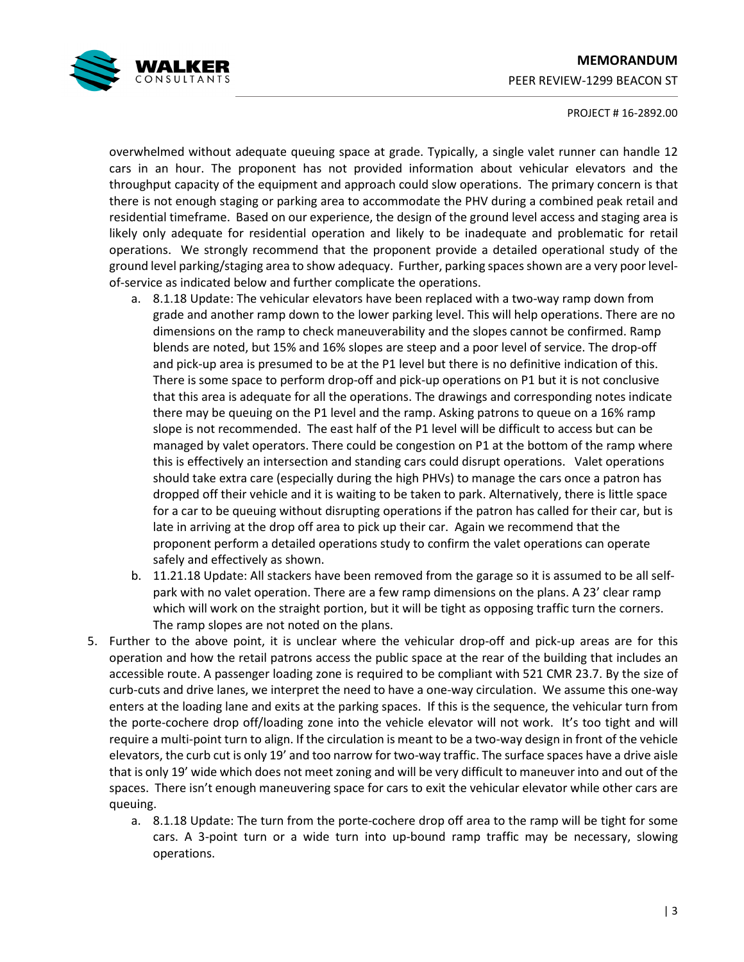### **MEMORANDUM**  PEER REVIEW-1299 BEACON ST



#### PROJECT # 16-2892.00

overwhelmed without adequate queuing space at grade. Typically, a single valet runner can handle 12 cars in an hour. The proponent has not provided information about vehicular elevators and the throughput capacity of the equipment and approach could slow operations. The primary concern is that there is not enough staging or parking area to accommodate the PHV during a combined peak retail and residential timeframe. Based on our experience, the design of the ground level access and staging area is likely only adequate for residential operation and likely to be inadequate and problematic for retail operations. We strongly recommend that the proponent provide a detailed operational study of the ground level parking/staging area to show adequacy. Further, parking spaces shown are a very poor levelof-service as indicated below and further complicate the operations.

- a. 8.1.18 Update: The vehicular elevators have been replaced with a two-way ramp down from grade and another ramp down to the lower parking level. This will help operations. There are no dimensions on the ramp to check maneuverability and the slopes cannot be confirmed. Ramp blends are noted, but 15% and 16% slopes are steep and a poor level of service. The drop-off and pick-up area is presumed to be at the P1 level but there is no definitive indication of this. There is some space to perform drop-off and pick-up operations on P1 but it is not conclusive that this area is adequate for all the operations. The drawings and corresponding notes indicate there may be queuing on the P1 level and the ramp. Asking patrons to queue on a 16% ramp slope is not recommended. The east half of the P1 level will be difficult to access but can be managed by valet operators. There could be congestion on P1 at the bottom of the ramp where this is effectively an intersection and standing cars could disrupt operations. Valet operations should take extra care (especially during the high PHVs) to manage the cars once a patron has dropped off their vehicle and it is waiting to be taken to park. Alternatively, there is little space for a car to be queuing without disrupting operations if the patron has called for their car, but is late in arriving at the drop off area to pick up their car. Again we recommend that the proponent perform a detailed operations study to confirm the valet operations can operate safely and effectively as shown.
- b. 11.21.18 Update: All stackers have been removed from the garage so it is assumed to be all selfpark with no valet operation. There are a few ramp dimensions on the plans. A 23' clear ramp which will work on the straight portion, but it will be tight as opposing traffic turn the corners. The ramp slopes are not noted on the plans.
- 5. Further to the above point, it is unclear where the vehicular drop-off and pick-up areas are for this operation and how the retail patrons access the public space at the rear of the building that includes an accessible route. A passenger loading zone is required to be compliant with 521 CMR 23.7. By the size of curb-cuts and drive lanes, we interpret the need to have a one-way circulation. We assume this one-way enters at the loading lane and exits at the parking spaces. If this is the sequence, the vehicular turn from the porte-cochere drop off/loading zone into the vehicle elevator will not work. It's too tight and will require a multi-point turn to align. If the circulation is meant to be a two-way design in front of the vehicle elevators, the curb cut is only 19' and too narrow for two-way traffic. The surface spaces have a drive aisle that is only 19' wide which does not meet zoning and will be very difficult to maneuver into and out of the spaces. There isn't enough maneuvering space for cars to exit the vehicular elevator while other cars are queuing.
	- a. 8.1.18 Update: The turn from the porte-cochere drop off area to the ramp will be tight for some cars. A 3-point turn or a wide turn into up-bound ramp traffic may be necessary, slowing operations.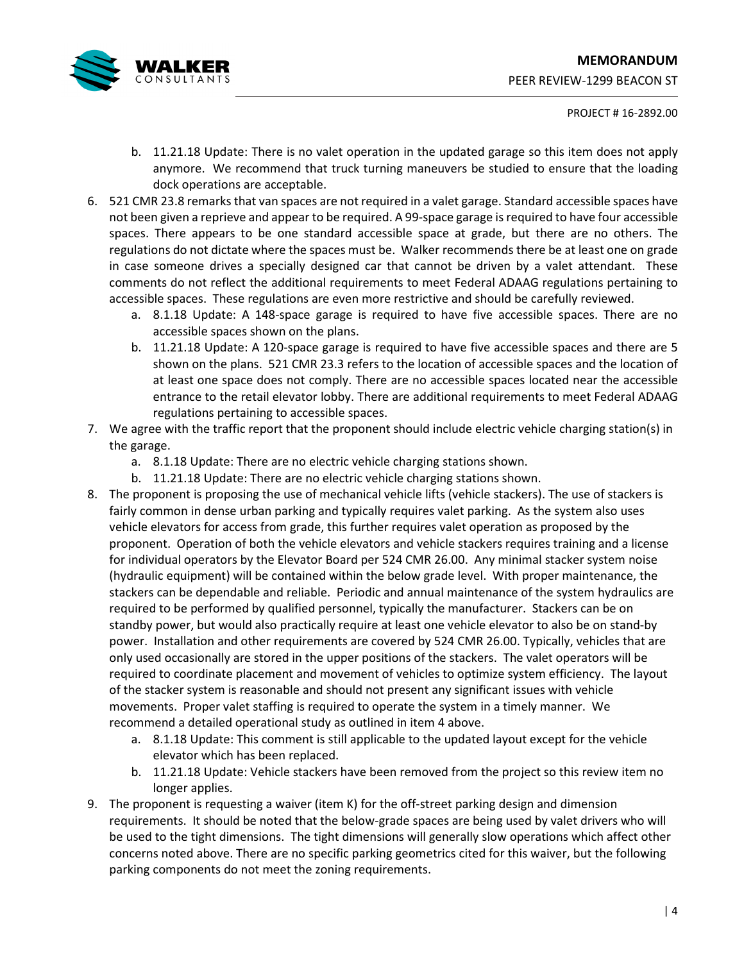

#### PROJECT # 16-2892.00

- b. 11.21.18 Update: There is no valet operation in the updated garage so this item does not apply anymore. We recommend that truck turning maneuvers be studied to ensure that the loading dock operations are acceptable.
- 6. 521 CMR 23.8 remarks that van spaces are not required in a valet garage. Standard accessible spaces have not been given a reprieve and appear to be required. A 99-space garage is required to have four accessible spaces. There appears to be one standard accessible space at grade, but there are no others. The regulations do not dictate where the spaces must be. Walker recommends there be at least one on grade in case someone drives a specially designed car that cannot be driven by a valet attendant. These comments do not reflect the additional requirements to meet Federal ADAAG regulations pertaining to accessible spaces. These regulations are even more restrictive and should be carefully reviewed.
	- a. 8.1.18 Update: A 148-space garage is required to have five accessible spaces. There are no accessible spaces shown on the plans.
	- b. 11.21.18 Update: A 120-space garage is required to have five accessible spaces and there are 5 shown on the plans. 521 CMR 23.3 refers to the location of accessible spaces and the location of at least one space does not comply. There are no accessible spaces located near the accessible entrance to the retail elevator lobby. There are additional requirements to meet Federal ADAAG regulations pertaining to accessible spaces.
- 7. We agree with the traffic report that the proponent should include electric vehicle charging station(s) in the garage.
	- a. 8.1.18 Update: There are no electric vehicle charging stations shown.
	- b. 11.21.18 Update: There are no electric vehicle charging stations shown.
- 8. The proponent is proposing the use of mechanical vehicle lifts (vehicle stackers). The use of stackers is fairly common in dense urban parking and typically requires valet parking. As the system also uses vehicle elevators for access from grade, this further requires valet operation as proposed by the proponent. Operation of both the vehicle elevators and vehicle stackers requires training and a license for individual operators by the Elevator Board per 524 CMR 26.00. Any minimal stacker system noise (hydraulic equipment) will be contained within the below grade level. With proper maintenance, the stackers can be dependable and reliable. Periodic and annual maintenance of the system hydraulics are required to be performed by qualified personnel, typically the manufacturer. Stackers can be on standby power, but would also practically require at least one vehicle elevator to also be on stand-by power. Installation and other requirements are covered by 524 CMR 26.00. Typically, vehicles that are only used occasionally are stored in the upper positions of the stackers. The valet operators will be required to coordinate placement and movement of vehicles to optimize system efficiency. The layout of the stacker system is reasonable and should not present any significant issues with vehicle movements. Proper valet staffing is required to operate the system in a timely manner. We recommend a detailed operational study as outlined in item 4 above.
	- a. 8.1.18 Update: This comment is still applicable to the updated layout except for the vehicle elevator which has been replaced.
	- b. 11.21.18 Update: Vehicle stackers have been removed from the project so this review item no longer applies.
- 9. The proponent is requesting a waiver (item K) for the off-street parking design and dimension requirements. It should be noted that the below-grade spaces are being used by valet drivers who will be used to the tight dimensions. The tight dimensions will generally slow operations which affect other concerns noted above. There are no specific parking geometrics cited for this waiver, but the following parking components do not meet the zoning requirements.